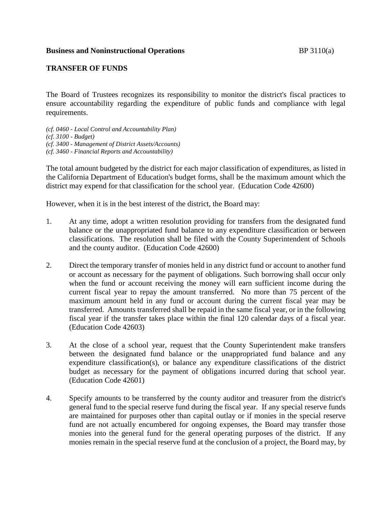## **Business and Noninstructional Operations** BP 3110(a)

## **TRANSFER OF FUNDS**

The Board of Trustees recognizes its responsibility to monitor the district's fiscal practices to ensure accountability regarding the expenditure of public funds and compliance with legal requirements.

*(cf. 0460 - Local Control and Accountability Plan) (cf. 3100 - Budget) (cf. 3400 - Management of District Assets/Accounts) (cf. 3460 - Financial Reports and Accountability)*

The total amount budgeted by the district for each major classification of expenditures, as listed in the California Department of Education's budget forms, shall be the maximum amount which the district may expend for that classification for the school year. (Education Code 42600)

However, when it is in the best interest of the district, the Board may:

- 1. At any time, adopt a written resolution providing for transfers from the designated fund balance or the unappropriated fund balance to any expenditure classification or between classifications. The resolution shall be filed with the County Superintendent of Schools and the county auditor. (Education Code 42600)
- 2. Direct the temporary transfer of monies held in any district fund or account to another fund or account as necessary for the payment of obligations. Such borrowing shall occur only when the fund or account receiving the money will earn sufficient income during the current fiscal year to repay the amount transferred. No more than 75 percent of the maximum amount held in any fund or account during the current fiscal year may be transferred. Amounts transferred shall be repaid in the same fiscal year, or in the following fiscal year if the transfer takes place within the final 120 calendar days of a fiscal year. (Education Code 42603)
- 3. At the close of a school year, request that the County Superintendent make transfers between the designated fund balance or the unappropriated fund balance and any expenditure classification(s), or balance any expenditure classifications of the district budget as necessary for the payment of obligations incurred during that school year. (Education Code 42601)
- 4. Specify amounts to be transferred by the county auditor and treasurer from the district's general fund to the special reserve fund during the fiscal year. If any special reserve funds are maintained for purposes other than capital outlay or if monies in the special reserve fund are not actually encumbered for ongoing expenses, the Board may transfer those monies into the general fund for the general operating purposes of the district. If any monies remain in the special reserve fund at the conclusion of a project, the Board may, by